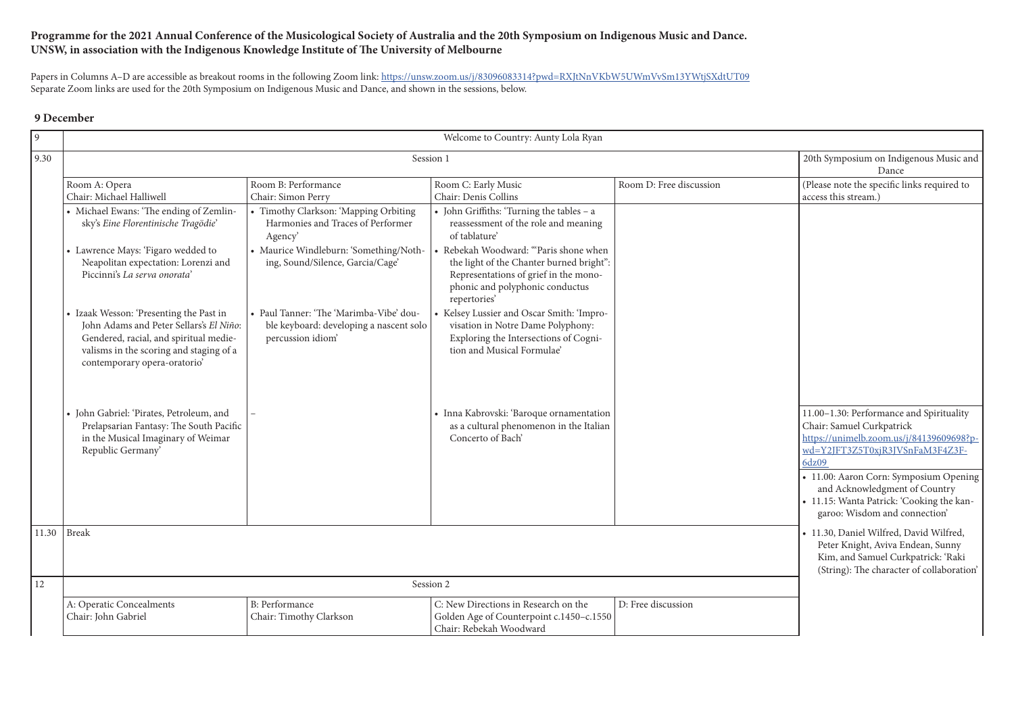## **Programme for the 2021 Annual Conference of the Musicological Society of Australia and the 20th Symposium on Indigenous Music and Dance. UNSW, in association with the Indigenous Knowledge Institute of The University of Melbourne**

Papers in Columns A-D are accessible as breakout rooms in the following Zoom link: https://unsw.zoom.us/j/83096083314?pwd=RXJtNnVKbW5UWmVvSm13YWtjSXdtUT09 Separate Zoom links are used for the 20th Symposium on Indigenous Music and Dance, and shown in the sessions, below.

## **9 December**

| 9    | Welcome to Country: Aunty Lola Ryan                                                                                                                                                                     |                                                                                                         |                                                                                                                                                                               |                         |                                                                                                                                                                                                                                                                                                                        |
|------|---------------------------------------------------------------------------------------------------------------------------------------------------------------------------------------------------------|---------------------------------------------------------------------------------------------------------|-------------------------------------------------------------------------------------------------------------------------------------------------------------------------------|-------------------------|------------------------------------------------------------------------------------------------------------------------------------------------------------------------------------------------------------------------------------------------------------------------------------------------------------------------|
| 9.30 |                                                                                                                                                                                                         | 20th Symposium on Indigenous Music and<br>Dance                                                         |                                                                                                                                                                               |                         |                                                                                                                                                                                                                                                                                                                        |
|      | Room A: Opera<br>Chair: Michael Halliwell                                                                                                                                                               | Room B: Performance<br>Chair: Simon Perry                                                               | Room C: Early Music<br>Chair: Denis Collins                                                                                                                                   | Room D: Free discussion | (Please note the specific links required to<br>access this stream.)                                                                                                                                                                                                                                                    |
|      | • Michael Ewans: 'The ending of Zemlin-<br>sky's Eine Florentinische Tragödie'                                                                                                                          | • Timothy Clarkson: 'Mapping Orbiting<br>Harmonies and Traces of Performer<br>Agency'                   | • John Griffiths: 'Turning the tables - a<br>reassessment of the role and meaning<br>of tablature'                                                                            |                         |                                                                                                                                                                                                                                                                                                                        |
|      | • Lawrence Mays: 'Figaro wedded to<br>Neapolitan expectation: Lorenzi and<br>Piccinni's La serva onorata'                                                                                               | • Maurice Windleburn: 'Something/Noth-<br>ing, Sound/Silence, Garcia/Cage'                              | • Rebekah Woodward: "Paris shone when<br>the light of the Chanter burned bright":<br>Representations of grief in the mono-<br>phonic and polyphonic conductus<br>repertories' |                         |                                                                                                                                                                                                                                                                                                                        |
|      | • Izaak Wesson: 'Presenting the Past in<br>John Adams and Peter Sellars's El Niño:<br>Gendered, racial, and spiritual medie-<br>valisms in the scoring and staging of a<br>contemporary opera-oratorio' | • Paul Tanner: 'The 'Marimba-Vibe' dou-<br>ble keyboard: developing a nascent solo<br>percussion idiom' | • Kelsey Lussier and Oscar Smith: 'Impro-<br>visation in Notre Dame Polyphony:<br>Exploring the Intersections of Cogni-<br>tion and Musical Formulae'                         |                         |                                                                                                                                                                                                                                                                                                                        |
|      | · John Gabriel: 'Pirates, Petroleum, and<br>Prelapsarian Fantasy: The South Pacific<br>in the Musical Imaginary of Weimar<br>Republic Germany'                                                          |                                                                                                         | • Inna Kabrovski: 'Baroque ornamentation<br>as a cultural phenomenon in the Italian<br>Concerto of Bach'                                                                      |                         | 11.00-1.30: Performance and Spirituality<br>Chair: Samuel Curkpatrick<br>https://unimelb.zoom.us/j/84139609698?p-<br>wd=Y2JFT3Z5T0xjR3JVSnFaM3F4Z3F-<br>6dz09<br>• 11.00: Aaron Corn: Symposium Opening<br>and Acknowledgment of Country<br>• 11.15: Wanta Patrick: 'Cooking the kan-<br>garoo: Wisdom and connection' |
|      | 11.30   Break                                                                                                                                                                                           |                                                                                                         |                                                                                                                                                                               |                         | · 11.30, Daniel Wilfred, David Wilfred,<br>Peter Knight, Aviva Endean, Sunny<br>Kim, and Samuel Curkpatrick: 'Raki<br>(String): The character of collaboration'                                                                                                                                                        |
| 12   |                                                                                                                                                                                                         |                                                                                                         | Session 2                                                                                                                                                                     |                         |                                                                                                                                                                                                                                                                                                                        |
|      | n, n<br>$E_{\rm D}$                                                                                                                                                                                     |                                                                                                         |                                                                                                                                                                               |                         |                                                                                                                                                                                                                                                                                                                        |

|                         | 20th Symposium on Indigenous Music and<br>Dance                                                                                                                                                                                                                                                                                                                                                                                                                                           |
|-------------------------|-------------------------------------------------------------------------------------------------------------------------------------------------------------------------------------------------------------------------------------------------------------------------------------------------------------------------------------------------------------------------------------------------------------------------------------------------------------------------------------------|
| Room D: Free discussion | (Please note the specific links required to<br>access this stream.)                                                                                                                                                                                                                                                                                                                                                                                                                       |
|                         | 11.00-1.30: Performance and Spirituality<br>Chair: Samuel Curkpatrick<br>https://unimelb.zoom.us/j/84139609698?p-<br>wd=Y2JFT3Z5T0xjR3JVSnFaM3F4Z3F-<br>6dz09<br>• 11.00: Aaron Corn: Symposium Opening<br>and Acknowledgment of Country<br>• 11.15: Wanta Patrick: 'Cooking the kan-<br>garoo: Wisdom and connection'<br>• 11.30, Daniel Wilfred, David Wilfred,<br>Peter Knight, Aviva Endean, Sunny<br>Kim, and Samuel Curkpatrick: 'Raki<br>(String): The character of collaboration' |
| D: Free discussion      |                                                                                                                                                                                                                                                                                                                                                                                                                                                                                           |
|                         |                                                                                                                                                                                                                                                                                                                                                                                                                                                                                           |

| A: Operatic Concealments | B: Performance          | C: New Directions in Research on the     | D: Free discussion |
|--------------------------|-------------------------|------------------------------------------|--------------------|
| Chair: John Gabriel      | Chair: Timothy Clarkson | Golden Age of Counterpoint c.1450–c.1550 |                    |
|                          |                         | Chair: Rebekah Woodward                  |                    |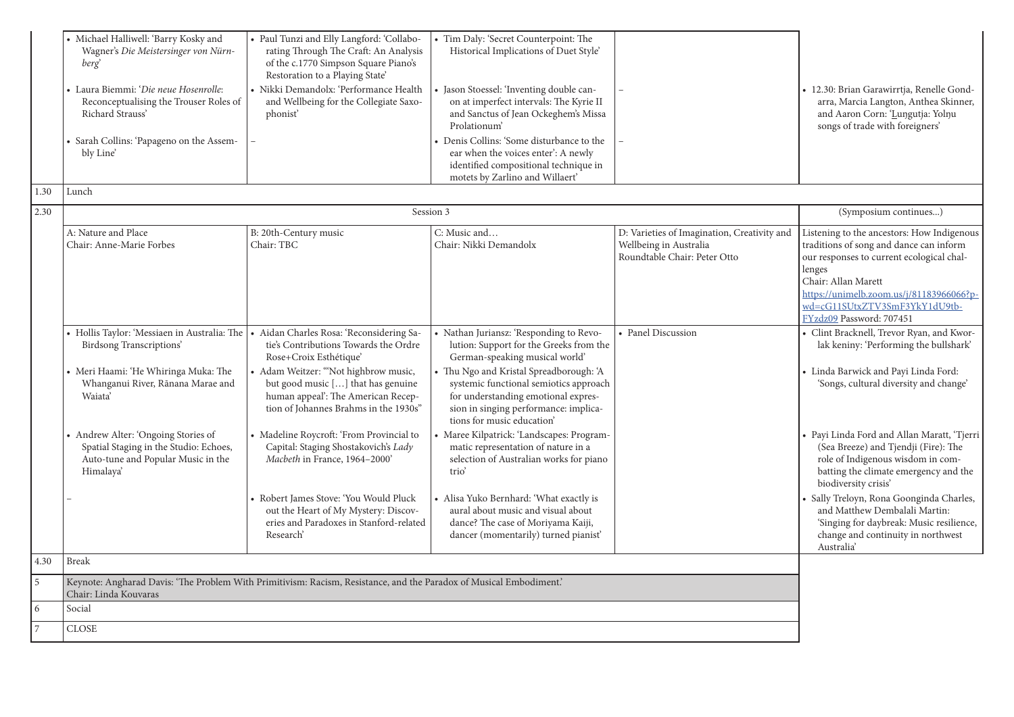| 1.30 | • Michael Halliwell: 'Barry Kosky and<br>Wagner's Die Meistersinger von Nürn-<br>berg<br>• Laura Biemmi: 'Die neue Hosenrolle:<br>Reconceptualising the Trouser Roles of<br>Richard Strauss'<br>• Sarah Collins: 'Papageno on the Assem-<br>bly Line'<br>Lunch                                              | • Paul Tunzi and Elly Langford: 'Collabo-<br>rating Through The Craft: An Analysis<br>of the c.1770 Simpson Square Piano's<br>Restoration to a Playing State'<br>· Nikki Demandolx: 'Performance Health<br>and Wellbeing for the Collegiate Saxo-<br>phonist <sup>'</sup>                                                                                                                                                                                                                                                                           | • Tim Daly: 'Secret Counterpoint: The<br>Historical Implications of Duet Style'<br>Jason Stoessel: 'Inventing double can-<br>on at imperfect intervals: The Kyrie II<br>and Sanctus of Jean Ockeghem's Missa<br>Prolationum'<br>• Denis Collins: 'Some disturbance to the<br>ear when the voices enter': A newly<br>identified compositional technique in<br>motets by Zarlino and Willaert'                                                                                                                                                                                                                                  |                                                                                                       | · 12.30: Brian Garawirrtja, Renelle Gond-<br>arra, Marcia Langton, Anthea Skinner,<br>and Aaron Corn: 'Lungutja: Yolnu<br>songs of trade with foreigners'                                                                                                                                                                                                                                                                                                                                                                                                   |
|------|-------------------------------------------------------------------------------------------------------------------------------------------------------------------------------------------------------------------------------------------------------------------------------------------------------------|-----------------------------------------------------------------------------------------------------------------------------------------------------------------------------------------------------------------------------------------------------------------------------------------------------------------------------------------------------------------------------------------------------------------------------------------------------------------------------------------------------------------------------------------------------|-------------------------------------------------------------------------------------------------------------------------------------------------------------------------------------------------------------------------------------------------------------------------------------------------------------------------------------------------------------------------------------------------------------------------------------------------------------------------------------------------------------------------------------------------------------------------------------------------------------------------------|-------------------------------------------------------------------------------------------------------|-------------------------------------------------------------------------------------------------------------------------------------------------------------------------------------------------------------------------------------------------------------------------------------------------------------------------------------------------------------------------------------------------------------------------------------------------------------------------------------------------------------------------------------------------------------|
| 2.30 |                                                                                                                                                                                                                                                                                                             | Session 3                                                                                                                                                                                                                                                                                                                                                                                                                                                                                                                                           |                                                                                                                                                                                                                                                                                                                                                                                                                                                                                                                                                                                                                               |                                                                                                       | (Symposium continues)                                                                                                                                                                                                                                                                                                                                                                                                                                                                                                                                       |
|      | A: Nature and Place<br>Chair: Anne-Marie Forbes                                                                                                                                                                                                                                                             | B: 20th-Century music<br>Chair: TBC                                                                                                                                                                                                                                                                                                                                                                                                                                                                                                                 | C: Music and<br>Chair: Nikki Demandolx                                                                                                                                                                                                                                                                                                                                                                                                                                                                                                                                                                                        | D: Varieties of Imagination, Creativity and<br>Wellbeing in Australia<br>Roundtable Chair: Peter Otto | Listening to the ancestors: How Indigenous<br>traditions of song and dance can inform<br>our responses to current ecological chal-<br>lenges<br>Chair: Allan Marett<br>https://unimelb.zoom.us/j/81183966066?p-<br>wd=cG11SUtxZTV3SmF3YkY1dU9tb-<br>FYzdz09 Password: 707451                                                                                                                                                                                                                                                                                |
|      | • Hollis Taylor: 'Messiaen in Australia: The<br><b>Birdsong Transcriptions'</b><br>• Meri Haami: 'He Whiringa Muka: The<br>Whanganui River, Rānana Marae and<br>Waiata'<br>• Andrew Alter: 'Ongoing Stories of<br>Spatial Staging in the Studio: Echoes,<br>Auto-tune and Popular Music in the<br>Himalaya' | · Aidan Charles Rosa: 'Reconsidering Sa-<br>tie's Contributions Towards the Ordre<br>Rose+Croix Esthétique'<br>• Adam Weitzer: "Not highbrow music,<br>but good music [] that has genuine<br>human appeal': The American Recep-<br>tion of Johannes Brahms in the 1930s"<br>• Madeline Roycroft: 'From Provincial to<br>Capital: Staging Shostakovich's Lady<br>Macbeth in France, 1964-2000'<br>• Robert James Stove: 'You Would Pluck<br>out the Heart of My Mystery: Discov-<br>eries and Paradoxes in Stanford-related<br>Research <sup>'</sup> | • Nathan Juriansz: 'Responding to Revo-<br>lution: Support for the Greeks from the<br>German-speaking musical world'<br>• Thu Ngo and Kristal Spreadborough: 'A<br>systemic functional semiotics approach<br>for understanding emotional expres-<br>sion in singing performance: implica-<br>tions for music education'<br>• Maree Kilpatrick: 'Landscapes: Program-<br>matic representation of nature in a<br>selection of Australian works for piano<br>trio<br>• Alisa Yuko Bernhard: 'What exactly is<br>aural about music and visual about<br>dance? The case of Moriyama Kaiji,<br>dancer (momentarily) turned pianist' | • Panel Discussion                                                                                    | • Clint Bracknell, Trevor Ryan, and Kwor-<br>lak keniny: 'Performing the bullshark'<br>· Linda Barwick and Payi Linda Ford:<br>'Songs, cultural diversity and change'<br>• Payi Linda Ford and Allan Maratt, 'Tjerri<br>(Sea Breeze) and Tjendji (Fire): The<br>role of Indigenous wisdom in com-<br>batting the climate emergency and the<br>biodiversity crisis'<br>· Sally Treloyn, Rona Goonginda Charles,<br>and Matthew Dembalali Martin:<br>'Singing for daybreak: Music resilience,<br>change and continuity in northwest<br>Australia <sup>'</sup> |
| 4.30 | <b>Break</b>                                                                                                                                                                                                                                                                                                |                                                                                                                                                                                                                                                                                                                                                                                                                                                                                                                                                     |                                                                                                                                                                                                                                                                                                                                                                                                                                                                                                                                                                                                                               |                                                                                                       |                                                                                                                                                                                                                                                                                                                                                                                                                                                                                                                                                             |
| 5    | Chair: Linda Kouvaras                                                                                                                                                                                                                                                                                       | Keynote: Angharad Davis: 'The Problem With Primitivism: Racism, Resistance, and the Paradox of Musical Embodiment.'                                                                                                                                                                                                                                                                                                                                                                                                                                 |                                                                                                                                                                                                                                                                                                                                                                                                                                                                                                                                                                                                                               |                                                                                                       |                                                                                                                                                                                                                                                                                                                                                                                                                                                                                                                                                             |
| 6    | Social                                                                                                                                                                                                                                                                                                      |                                                                                                                                                                                                                                                                                                                                                                                                                                                                                                                                                     |                                                                                                                                                                                                                                                                                                                                                                                                                                                                                                                                                                                                                               |                                                                                                       |                                                                                                                                                                                                                                                                                                                                                                                                                                                                                                                                                             |
| 7    | <b>CLOSE</b>                                                                                                                                                                                                                                                                                                |                                                                                                                                                                                                                                                                                                                                                                                                                                                                                                                                                     |                                                                                                                                                                                                                                                                                                                                                                                                                                                                                                                                                                                                                               |                                                                                                       |                                                                                                                                                                                                                                                                                                                                                                                                                                                                                                                                                             |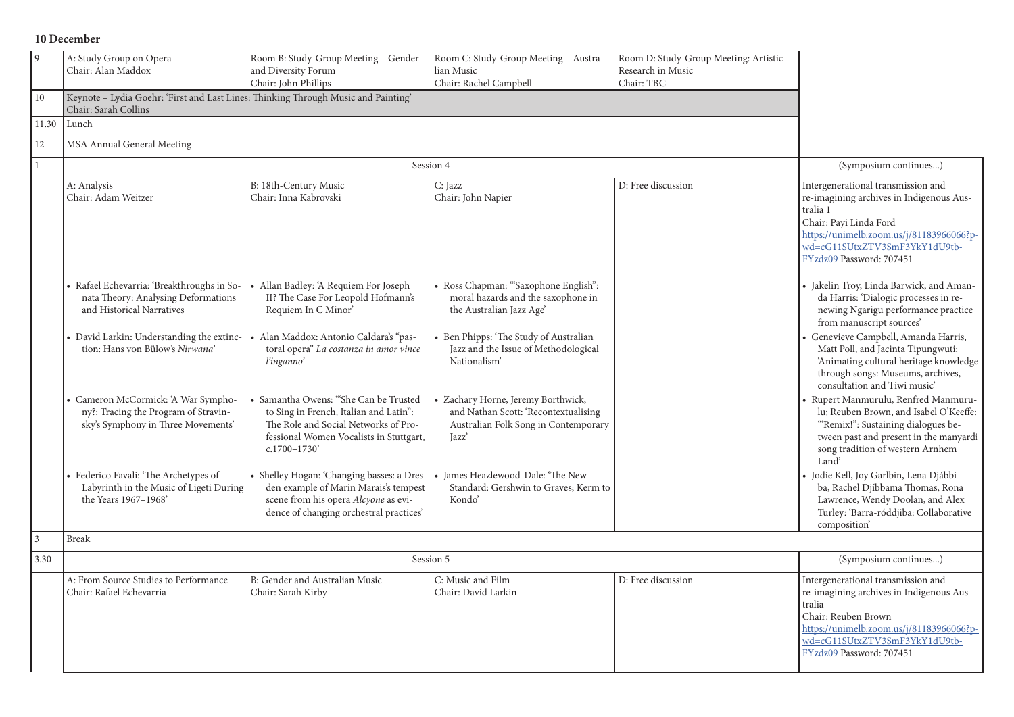## **10 December**

| $\overline{9}$ | A: Study Group on Opera<br>Chair: Alan Maddox                                                                     | Room B: Study-Group Meeting - Gender<br>and Diversity Forum                                                                                                                          | Room C: Study-Group Meeting - Austra-<br>lian Music                                                                       | Room D: Study-Group Meeting: Artistic<br>Research in Music |                                                                                                                                                                                                                               |
|----------------|-------------------------------------------------------------------------------------------------------------------|--------------------------------------------------------------------------------------------------------------------------------------------------------------------------------------|---------------------------------------------------------------------------------------------------------------------------|------------------------------------------------------------|-------------------------------------------------------------------------------------------------------------------------------------------------------------------------------------------------------------------------------|
|                |                                                                                                                   | Chair: John Phillips                                                                                                                                                                 | Chair: Rachel Campbell                                                                                                    | Chair: TBC                                                 |                                                                                                                                                                                                                               |
| $10\,$         | Keynote - Lydia Goehr: 'First and Last Lines: Thinking Through Music and Painting'<br>Chair: Sarah Collins        |                                                                                                                                                                                      |                                                                                                                           |                                                            |                                                                                                                                                                                                                               |
| 11.30          | Lunch                                                                                                             |                                                                                                                                                                                      |                                                                                                                           |                                                            |                                                                                                                                                                                                                               |
| 12             | MSA Annual General Meeting                                                                                        |                                                                                                                                                                                      |                                                                                                                           |                                                            |                                                                                                                                                                                                                               |
|                |                                                                                                                   |                                                                                                                                                                                      | Session 4                                                                                                                 |                                                            | (Symposium continues)                                                                                                                                                                                                         |
|                | A: Analysis<br>Chair: Adam Weitzer                                                                                | B: 18th-Century Music<br>Chair: Inna Kabrovski                                                                                                                                       | C: Jazz<br>Chair: John Napier                                                                                             | D: Free discussion                                         | Intergenerational transmission and<br>re-imagining archives in Indigenous Aus-<br>tralia 1<br>Chair: Payi Linda Ford<br>https://unimelb.zoom.us/j/81183966066?p-<br>wd=cG11SUtxZTV3SmF3YkY1dU9tb-<br>FYzdz09 Password: 707451 |
|                | · Rafael Echevarria: 'Breakthroughs in So-<br>nata Theory: Analysing Deformations<br>and Historical Narratives    | Allan Badley: 'A Requiem For Joseph<br>II? The Case For Leopold Hofmann's<br>Requiem In C Minor'                                                                                     | · Ross Chapman: "Saxophone English":<br>moral hazards and the saxophone in<br>the Australian Jazz Age'                    |                                                            | · Jakelin Troy, Linda Barwick, and Aman-<br>da Harris: 'Dialogic processes in re-<br>newing Ngarigu performance practice<br>from manuscript sources'                                                                          |
|                | • David Larkin: Understanding the extinc-<br>tion: Hans von Bülow's Nirwana'                                      | · Alan Maddox: Antonio Caldara's "pas-<br>toral opera" La costanza in amor vince<br>l'inganno'                                                                                       | • Ben Phipps: 'The Study of Australian<br>Jazz and the Issue of Methodological<br>Nationalism'                            |                                                            | • Genevieve Campbell, Amanda Harris,<br>Matt Poll, and Jacinta Tipungwuti:<br>'Animating cultural heritage knowledge<br>through songs: Museums, archives,<br>consultation and Tiwi music'                                     |
|                | • Cameron McCormick: 'A War Sympho-<br>ny?: Tracing the Program of Stravin-<br>sky's Symphony in Three Movements' | Samantha Owens: "She Can be Trusted<br>to Sing in French, Italian and Latin":<br>The Role and Social Networks of Pro-<br>fessional Women Vocalists in Stuttgart,<br>$c.1700 - 1730'$ | Zachary Horne, Jeremy Borthwick,<br>and Nathan Scott: 'Recontextualising<br>Australian Folk Song in Contemporary<br>Jazz' |                                                            | Rupert Manmurulu, Renfred Manmuru-<br>lu; Reuben Brown, and Isabel O'Keeffe:<br>"Remix!": Sustaining dialogues be-<br>tween past and present in the manyardi<br>song tradition of western Arnhem<br>Land'                     |
|                | • Federico Favali: 'The Archetypes of<br>Labyrinth in the Music of Ligeti During<br>the Years 1967-1968'          | • Shelley Hogan: 'Changing basses: a Dres-<br>den example of Marin Marais's tempest<br>scene from his opera Alcyone as evi-<br>dence of changing orchestral practices'               | • James Heazlewood-Dale: 'The New<br>Standard: Gershwin to Graves; Kerm to<br>Kondo'                                      |                                                            | Jodie Kell, Joy Garlbin, Lena Djábbi-<br>ba, Rachel Djíbbama Thomas, Rona<br>Lawrence, Wendy Doolan, and Alex<br>Turley: 'Barra-róddjiba: Collaborative<br>composition'                                                       |
| 3              | <b>Break</b>                                                                                                      |                                                                                                                                                                                      |                                                                                                                           |                                                            |                                                                                                                                                                                                                               |
| 3.30           |                                                                                                                   |                                                                                                                                                                                      | Session 5                                                                                                                 |                                                            | (Symposium continues)                                                                                                                                                                                                         |
|                | A: From Source Studies to Performance<br>Chair: Rafael Echevarria                                                 | B: Gender and Australian Music<br>Chair: Sarah Kirby                                                                                                                                 | C: Music and Film<br>Chair: David Larkin                                                                                  | D: Free discussion                                         | Intergenerational transmission and<br>re-imagining archives in Indigenous Aus-<br>tralia<br>Chair: Reuben Brown<br>https://unimelb.zoom.us/j/81183966066?p-<br>wd=cG11SUtxZTV3SmF3YkY1dU9tb-<br>FYzdz09 Password: 707451      |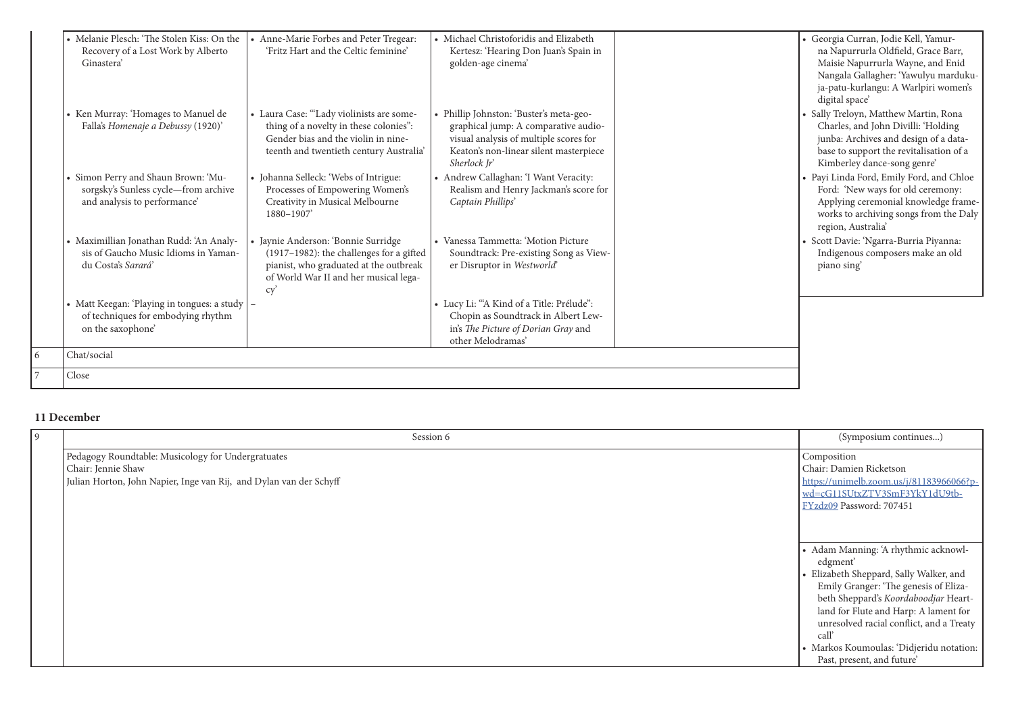| • Melanie Plesch: 'The Stolen Kiss: On the<br>Recovery of a Lost Work by Alberto<br>Ginastera'              | • Anne-Marie Forbes and Peter Tregear:<br>'Fritz Hart and the Celtic feminine'                                                                                            | • Michael Christoforidis and Elizabeth<br>Kertesz: 'Hearing Don Juan's Spain in<br>golden-age cinema'                                                                               |  |
|-------------------------------------------------------------------------------------------------------------|---------------------------------------------------------------------------------------------------------------------------------------------------------------------------|-------------------------------------------------------------------------------------------------------------------------------------------------------------------------------------|--|
| • Ken Murray: 'Homages to Manuel de<br>Falla's Homenaje a Debussy (1920)'                                   | • Laura Case: "Lady violinists are some-<br>thing of a novelty in these colonies":<br>Gender bias and the violin in nine-<br>teenth and twentieth century Australia'      | • Phillip Johnston: 'Buster's meta-geo-<br>graphical jump: A comparative audio-<br>visual analysis of multiple scores for<br>Keaton's non-linear silent masterpiece<br>Sherlock Jr' |  |
| • Simon Perry and Shaun Brown: 'Mu-<br>sorgsky's Sunless cycle-from archive<br>and analysis to performance' | • Johanna Selleck: 'Webs of Intrigue:<br>Processes of Empowering Women's<br>Creativity in Musical Melbourne<br>1880-1907'                                                 | • Andrew Callaghan: 'I Want Veracity:<br>Realism and Henry Jackman's score for<br>Captain Phillips'                                                                                 |  |
| • Maximillian Jonathan Rudd: 'An Analy-<br>sis of Gaucho Music Idioms in Yaman-<br>du Costa's Sarará'       | · Jaynie Anderson: 'Bonnie Surridge<br>(1917-1982): the challenges for a gifted<br>pianist, who graduated at the outbreak<br>of World War II and her musical lega-<br>cy' | • Vanessa Tammetta: 'Motion Picture<br>Soundtrack: Pre-existing Song as View-<br>er Disruptor in Westworld'                                                                         |  |
| • Matt Keegan: 'Playing in tongues: a study  <br>of techniques for embodying rhythm<br>on the saxophone'    |                                                                                                                                                                           | • Lucy Li: "A Kind of a Title: Prélude":<br>Chopin as Soundtrack in Albert Lew-<br>in's The Picture of Dorian Gray and<br>other Melodramas'                                         |  |
| Chat/social                                                                                                 |                                                                                                                                                                           |                                                                                                                                                                                     |  |
| Close                                                                                                       |                                                                                                                                                                           |                                                                                                                                                                                     |  |

| Georgia Curran, Jodie Kell, Yamur-<br>na Napurrurla Oldfield, Grace Barr,<br>Maisie Napurrurla Wayne, and Enid<br>Nangala Gallagher: 'Yawulyu marduku-<br>ja-patu-kurlangu: A Warlpiri women's<br>digital space'<br>Sally Treloyn, Matthew Martin, Rona<br>Charles, and John Divilli: 'Holding<br>junba: Archives and design of a data-<br>base to support the revitalisation of a<br>Kimberley dance-song genre'<br>Payi Linda Ford, Emily Ford, and Chloe<br>Ford: 'New ways for old ceremony:<br>Applying ceremonial knowledge frame-<br>works to archiving songs from the Daly<br>region, Australia'<br>Scott Davie: 'Ngarra-Burria Piyanna:<br>Indigenous composers make an old<br>piano sing' |
|-----------------------------------------------------------------------------------------------------------------------------------------------------------------------------------------------------------------------------------------------------------------------------------------------------------------------------------------------------------------------------------------------------------------------------------------------------------------------------------------------------------------------------------------------------------------------------------------------------------------------------------------------------------------------------------------------------|
|                                                                                                                                                                                                                                                                                                                                                                                                                                                                                                                                                                                                                                                                                                     |
|                                                                                                                                                                                                                                                                                                                                                                                                                                                                                                                                                                                                                                                                                                     |

## **11 December**

 $\overline{7}$ 

| 9 | Session 6                                                                                                                                      | (Symposium continues)                                                                                                                                                                                                                                                                                                                               |
|---|------------------------------------------------------------------------------------------------------------------------------------------------|-----------------------------------------------------------------------------------------------------------------------------------------------------------------------------------------------------------------------------------------------------------------------------------------------------------------------------------------------------|
|   | Pedagogy Roundtable: Musicology for Undergratuates<br>Chair: Jennie Shaw<br>Julian Horton, John Napier, Inge van Rij, and Dylan van der Schyff | Composition<br>Chair: Damien Ricketson<br>https://unimelb.zoom.us/j/81183966066?p-<br>wd=cG11SUtxZTV3SmF3YkY1dU9tb-<br>FYzdz09 Password: 707451                                                                                                                                                                                                     |
|   |                                                                                                                                                | • Adam Manning: 'A rhythmic acknowl-<br>edgment'<br>• Elizabeth Sheppard, Sally Walker, and<br>Emily Granger: 'The genesis of Eliza-<br>beth Sheppard's Koordaboodjar Heart-<br>land for Flute and Harp: A lament for<br>unresolved racial conflict, and a Treaty<br>call<br>· Markos Koumoulas: 'Didjeridu notation:<br>Past, present, and future' |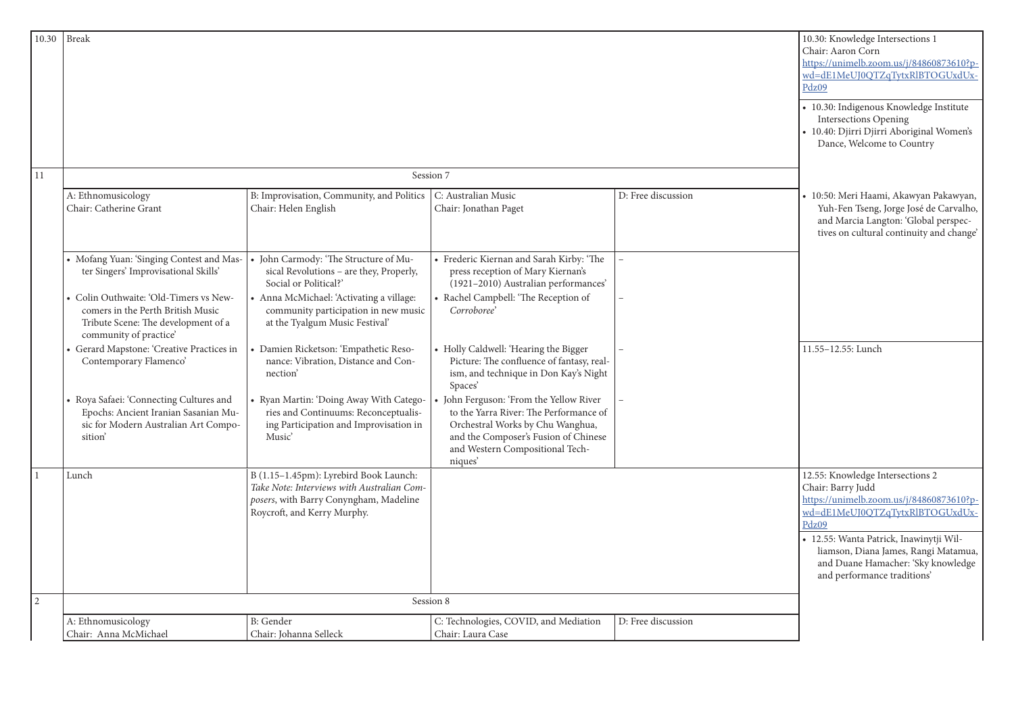| 10.30 | <b>Break</b>                                                                                                                               |                                                                                                                                                               |                                                                                                                                                                                                           |                    | 10.30: Knowledge Intersections 1<br>Chair: Aaron Corn<br>https://unimelb.zoom.us/j/84860873610?p-<br>wd=dE1MeUJ0QTZqTytxRlBTOGUxdUx-<br>Pdz09<br>· 10.30: Indigenous Knowledge Institute |
|-------|--------------------------------------------------------------------------------------------------------------------------------------------|---------------------------------------------------------------------------------------------------------------------------------------------------------------|-----------------------------------------------------------------------------------------------------------------------------------------------------------------------------------------------------------|--------------------|------------------------------------------------------------------------------------------------------------------------------------------------------------------------------------------|
|       |                                                                                                                                            |                                                                                                                                                               |                                                                                                                                                                                                           |                    | <b>Intersections Opening</b><br>• 10.40: Djirri Djirri Aboriginal Women's<br>Dance, Welcome to Country                                                                                   |
| 11    |                                                                                                                                            |                                                                                                                                                               | Session 7                                                                                                                                                                                                 |                    |                                                                                                                                                                                          |
|       | A: Ethnomusicology<br>Chair: Catherine Grant                                                                                               | B: Improvisation, Community, and Politics  <br>Chair: Helen English                                                                                           | C: Australian Music<br>Chair: Jonathan Paget                                                                                                                                                              | D: Free discussion | • 10:50: Meri Haami, Akawyan Pakawyan,<br>Yuh-Fen Tseng, Jorge José de Carvalho,<br>and Marcia Langton: 'Global perspec-<br>tives on cultural continuity and change'                     |
|       | Mofang Yuan: 'Singing Contest and Mas-<br>ter Singers' Improvisational Skills'                                                             | • John Carmody: 'The Structure of Mu-<br>sical Revolutions - are they, Properly,<br>Social or Political?'                                                     | • Frederic Kiernan and Sarah Kirby: 'The<br>press reception of Mary Kiernan's<br>(1921-2010) Australian performances'                                                                                     |                    |                                                                                                                                                                                          |
|       | Colin Outhwaite: 'Old-Timers vs New-<br>comers in the Perth British Music<br>Tribute Scene: The development of a<br>community of practice' | • Anna McMichael: 'Activating a village:<br>community participation in new music<br>at the Tyalgum Music Festival'                                            | Rachel Campbell: 'The Reception of<br>Corroboree'                                                                                                                                                         |                    |                                                                                                                                                                                          |
|       | Gerard Mapstone: 'Creative Practices in<br>Contemporary Flamenco'                                                                          | Damien Ricketson: 'Empathetic Reso-<br>nance: Vibration, Distance and Con-<br>nection <sup>'</sup>                                                            | • Holly Caldwell: 'Hearing the Bigger<br>Picture: The confluence of fantasy, real-<br>ism, and technique in Don Kay's Night<br>Spaces'                                                                    |                    | 11.55-12.55: Lunch                                                                                                                                                                       |
|       | Roya Safaei: 'Connecting Cultures and<br>Epochs: Ancient Iranian Sasanian Mu-<br>sic for Modern Australian Art Compo-<br>sition            | • Ryan Martin: 'Doing Away With Catego-<br>ries and Continuums: Reconceptualis-<br>ing Participation and Improvisation in<br>Music'                           | John Ferguson: 'From the Yellow River<br>to the Yarra River: The Performance of<br>Orchestral Works by Chu Wanghua,<br>and the Composer's Fusion of Chinese<br>and Western Compositional Tech-<br>niques' |                    |                                                                                                                                                                                          |
|       | Lunch                                                                                                                                      | B (1.15-1.45pm): Lyrebird Book Launch:<br>Take Note: Interviews with Australian Com-<br>posers, with Barry Conyngham, Madeline<br>Roycroft, and Kerry Murphy. |                                                                                                                                                                                                           |                    | 12.55: Knowledge Intersections 2<br>Chair: Barry Judd<br>https://unimelb.zoom.us/j/84860873610?p-<br>wd=dE1MeUJ0QTZqTytxRlBTOGUxdUx-<br>Pdz09                                            |
|       |                                                                                                                                            |                                                                                                                                                               |                                                                                                                                                                                                           |                    | · 12.55: Wanta Patrick, Inawinytji Wil-<br>liamson, Diana James, Rangi Matamua,<br>and Duane Hamacher: 'Sky knowledge<br>and performance traditions'                                     |
|       |                                                                                                                                            |                                                                                                                                                               | Session 8                                                                                                                                                                                                 |                    |                                                                                                                                                                                          |
|       | A: Ethnomusicology<br>Chair: Anna McMichael                                                                                                | <b>B</b> : Gender<br>Chair: Johanna Selleck                                                                                                                   | C: Technologies, COVID, and Mediation<br>Chair: Laura Case                                                                                                                                                | D: Free discussion |                                                                                                                                                                                          |

|                |                                                                                                                                              |                                                                                                                                                               |                                                                                                                                                                                                           |                    | Chair: Aaron Corn<br>https://unimelb.zoc<br>wd=dE1MeUJ0QTZ<br>Pdz09                                              |
|----------------|----------------------------------------------------------------------------------------------------------------------------------------------|---------------------------------------------------------------------------------------------------------------------------------------------------------------|-----------------------------------------------------------------------------------------------------------------------------------------------------------------------------------------------------------|--------------------|------------------------------------------------------------------------------------------------------------------|
|                |                                                                                                                                              |                                                                                                                                                               |                                                                                                                                                                                                           |                    | · 10.30: Indigenous<br>Intersections O<br>· 10.40: Djirri Djir<br>Dance, Welcom                                  |
| 11             |                                                                                                                                              |                                                                                                                                                               | Session 7                                                                                                                                                                                                 |                    |                                                                                                                  |
|                | A: Ethnomusicology<br>Chair: Catherine Grant                                                                                                 | B: Improvisation, Community, and Politics<br>Chair: Helen English                                                                                             | C: Australian Music<br>Chair: Jonathan Paget                                                                                                                                                              | D: Free discussion | • 10:50: Meri Haan<br>Yuh-Fen Tseng,<br>and Marcia Lan<br>tives on cultura                                       |
|                | • Mofang Yuan: 'Singing Contest and Mas-<br>ter Singers' Improvisational Skills'                                                             | • John Carmody: 'The Structure of Mu-<br>sical Revolutions - are they, Properly,<br>Social or Political?'                                                     | • Frederic Kiernan and Sarah Kirby: 'The<br>press reception of Mary Kiernan's<br>(1921-2010) Australian performances'                                                                                     |                    |                                                                                                                  |
|                | • Colin Outhwaite: 'Old-Timers vs New-<br>comers in the Perth British Music<br>Tribute Scene: The development of a<br>community of practice' | • Anna McMichael: 'Activating a village:<br>community participation in new music<br>at the Tyalgum Music Festival'                                            | • Rachel Campbell: 'The Reception of<br>Corroboree'                                                                                                                                                       |                    |                                                                                                                  |
|                | • Gerard Mapstone: 'Creative Practices in<br>Contemporary Flamenco'                                                                          | • Damien Ricketson: 'Empathetic Reso-<br>nance: Vibration, Distance and Con-<br>nection                                                                       | • Holly Caldwell: 'Hearing the Bigger<br>Picture: The confluence of fantasy, real-<br>ism, and technique in Don Kay's Night<br>Spaces'                                                                    |                    | 11.55-12.55: Lunch                                                                                               |
|                | • Roya Safaei: 'Connecting Cultures and<br>Epochs: Ancient Iranian Sasanian Mu-<br>sic for Modern Australian Art Compo-<br>sition            | • Ryan Martin: 'Doing Away With Catego-<br>ries and Continuums: Reconceptualis-<br>ing Participation and Improvisation in<br>Music'                           | John Ferguson: 'From the Yellow River<br>to the Yarra River: The Performance of<br>Orchestral Works by Chu Wanghua,<br>and the Composer's Fusion of Chinese<br>and Western Compositional Tech-<br>niques' |                    |                                                                                                                  |
|                | Lunch                                                                                                                                        | B (1.15-1.45pm): Lyrebird Book Launch:<br>Take Note: Interviews with Australian Com-<br>posers, with Barry Conyngham, Madeline<br>Roycroft, and Kerry Murphy. |                                                                                                                                                                                                           |                    | 12.55: Knowledge I<br>Chair: Barry Judd<br>https://unimelb.zoc<br>wd=dE1MeUJ0QTZ<br>Pdz09<br>• 12.55: Wanta Pati |
|                |                                                                                                                                              |                                                                                                                                                               |                                                                                                                                                                                                           |                    | liamson, Diana<br>and Duane Han<br>and performand                                                                |
| $\overline{2}$ |                                                                                                                                              |                                                                                                                                                               | Session 8                                                                                                                                                                                                 |                    |                                                                                                                  |
|                | A: Ethnomusicology<br>Chair: Anna McMichael                                                                                                  | <b>B</b> : Gender<br>Chair: Johanna Selleck                                                                                                                   | C: Technologies, COVID, and Mediation<br>Chair: Laura Case                                                                                                                                                | D: Free discussion |                                                                                                                  |